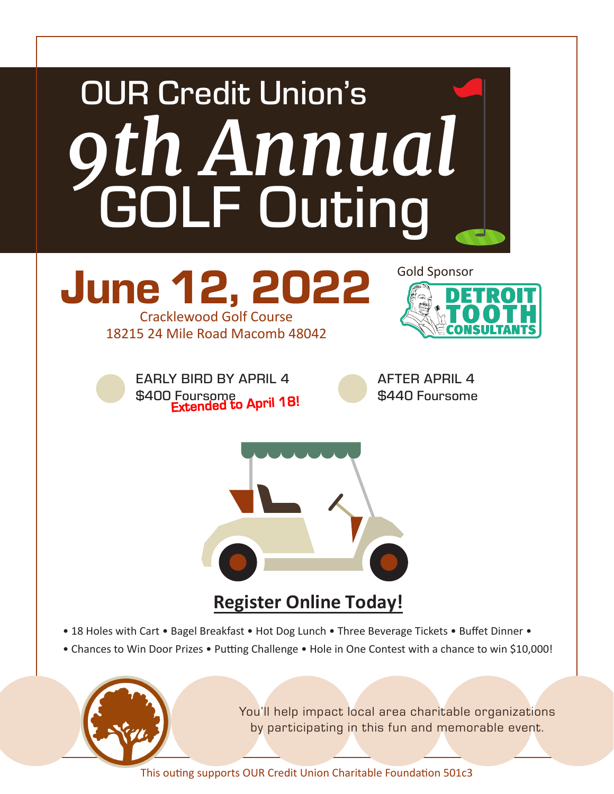

You'll help impact local area charitable organizations by participating in this fun and memorable event.

This outing supports OUR Credit Union Charitable Foundation 501c3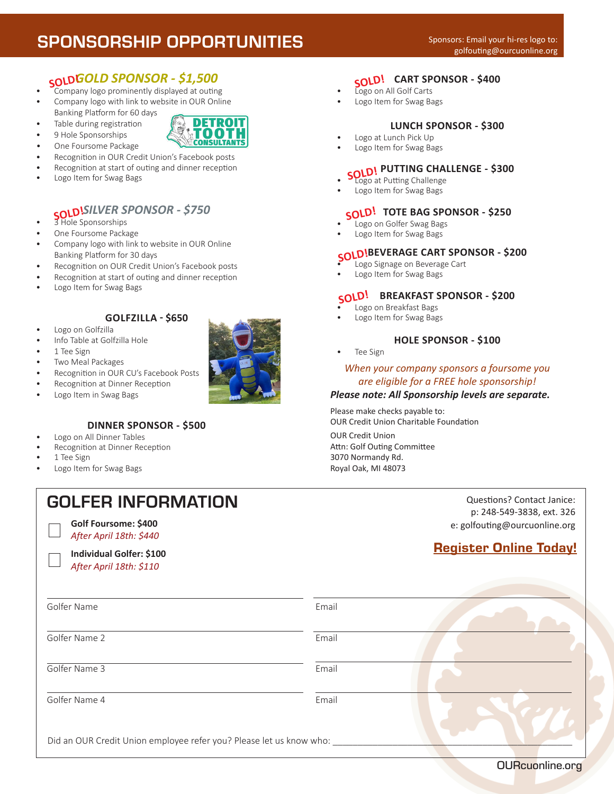# SPONSORSHIP OPPORTUNITIES

DETROIT TOOTH **CONSULTANTS** 

# *GOLD SPONSOR - \$1,500* **SOLD!**

- Company logo prominently displayed at outing
- Company logo with link to website in OUR Online Banking Platform for 60 days
- Table during registration
- 9 Hole Sponsorships
- One Foursome Package
- Recognition in OUR Credit Union's Facebook posts
- Recognition at start of outing and dinner reception
- Logo Item for Swag Bags

## *SILVER SPONSOR - \$750*

- **SOLD!SILVER S**<br>• 3 Hole Sponsorships
- One Foursome Package
- Company logo with link to website in OUR Online Banking Platform for 30 days
- Recognition on OUR Credit Union's Facebook posts
- Recognition at start of outing and dinner reception
- Logo Item for Swag Bags

## **GOLFZILLA - \$650**

- Logo on Golfzilla Info Table at Golfzilla Hole
- 
- 1 Tee Sign
- Two Meal Packages
- Recognition in OUR CU's Facebook Posts
- Recognition at Dinner Reception
- Logo Item in Swag Bags

### **DINNER SPONSOR - \$500**

GOLFER INFORMATION

- Logo on All Dinner Tables
- Recognition at Dinner Reception

**Golf Foursome: \$400** *After April 18th: \$440* **Individual Golfer: \$100** *After April 18th: \$110*

- 1 Tee Sign
- Logo Item for Swag Bags

# **CART SPONSOR - \$400 SOLD!**

- Logo on All Golf Carts
- Logo Item for Swag Bags

#### **LUNCH SPONSOR - \$300**

- Logo at Lunch Pick Up
- Logo Item for Swag Bags

# **SOLD! PUTTING CHALLENGE - \$300**

- Logo at Putting Challenge
- Logo Item for Swag Bags

## **TOTE BAG SPONSOR - \$250 SOLD!**

- Logo on Golfer Swag Bags
- Logo Item for Swag Bags

# **BEVERAGE CART SPONSOR - \$200 SOLD!**

- Logo Signage on Beverage Cart
- Logo Item for Swag Bags

# **BREAKFAST SPONSOR - \$200 SOLD!**

- Logo on Breakfast Bags
- Logo Item for Swag Bags

#### **HOLE SPONSOR - \$100**

Tee Sign

#### *When your company sponsors a foursome you are eligible for a FREE hole sponsorship!*

#### *Please note: All Sponsorship levels are separate.*

Please make checks payable to: OUR Credit Union Charitable Foundation

OUR Credit Union Attn: Golf Outing Committee 3070 Normandy Rd. Royal Oak, MI 48073

> Questions? Contact Janice: p: 248-549-3838, ext. 326 e: golfouting@ourcuonline.org

# [Register Online Today!](https://www.eventbrite.com/e/our-9th-annual-golf-outing-tickets-253263597237)

| Golfer Name                                                         | Email |  |
|---------------------------------------------------------------------|-------|--|
| Golfer Name 2                                                       | Email |  |
| Golfer Name 3                                                       | Email |  |
| Golfer Name 4                                                       | Email |  |
| Did an OUR Credit Union employee refer you? Please let us know who: |       |  |